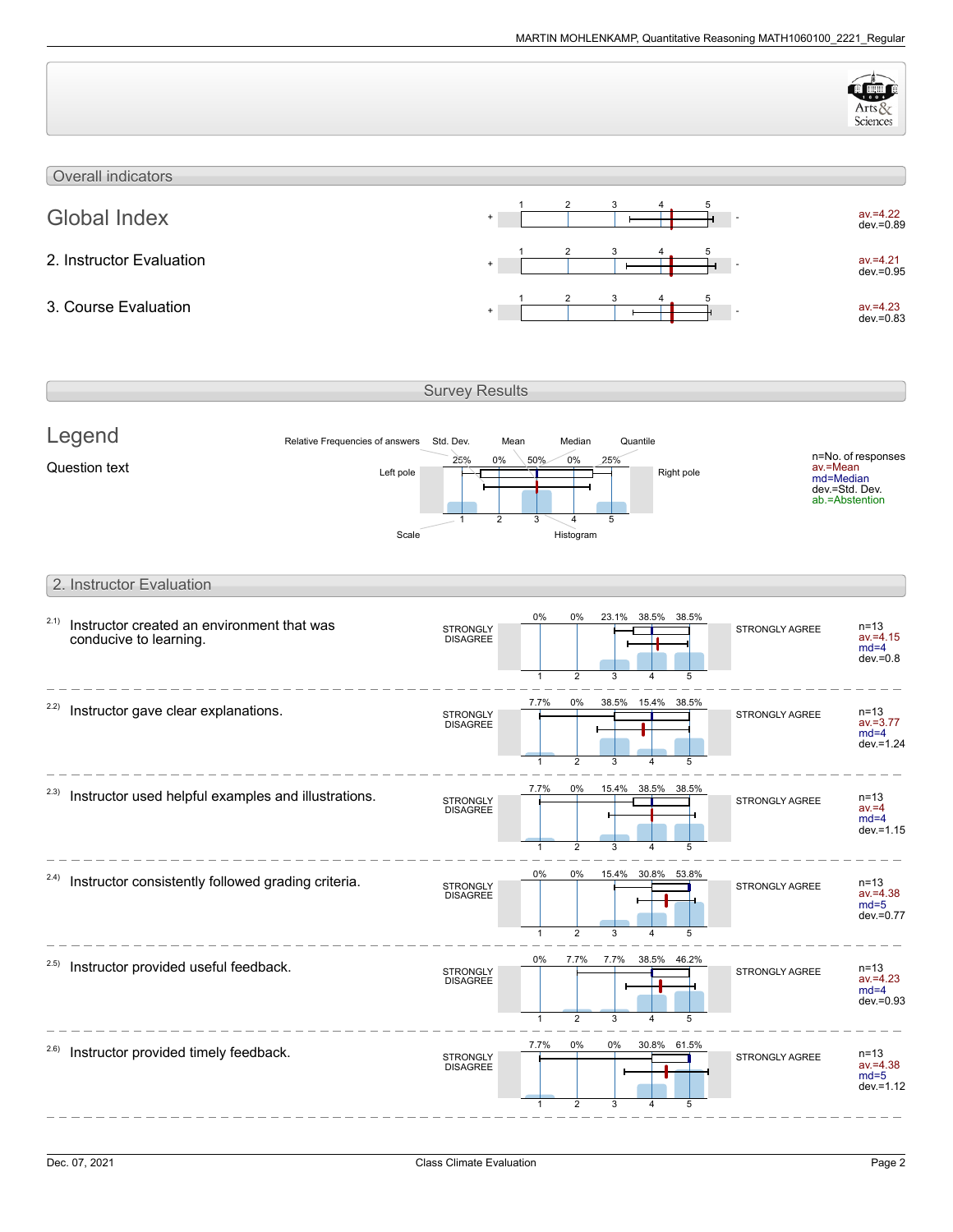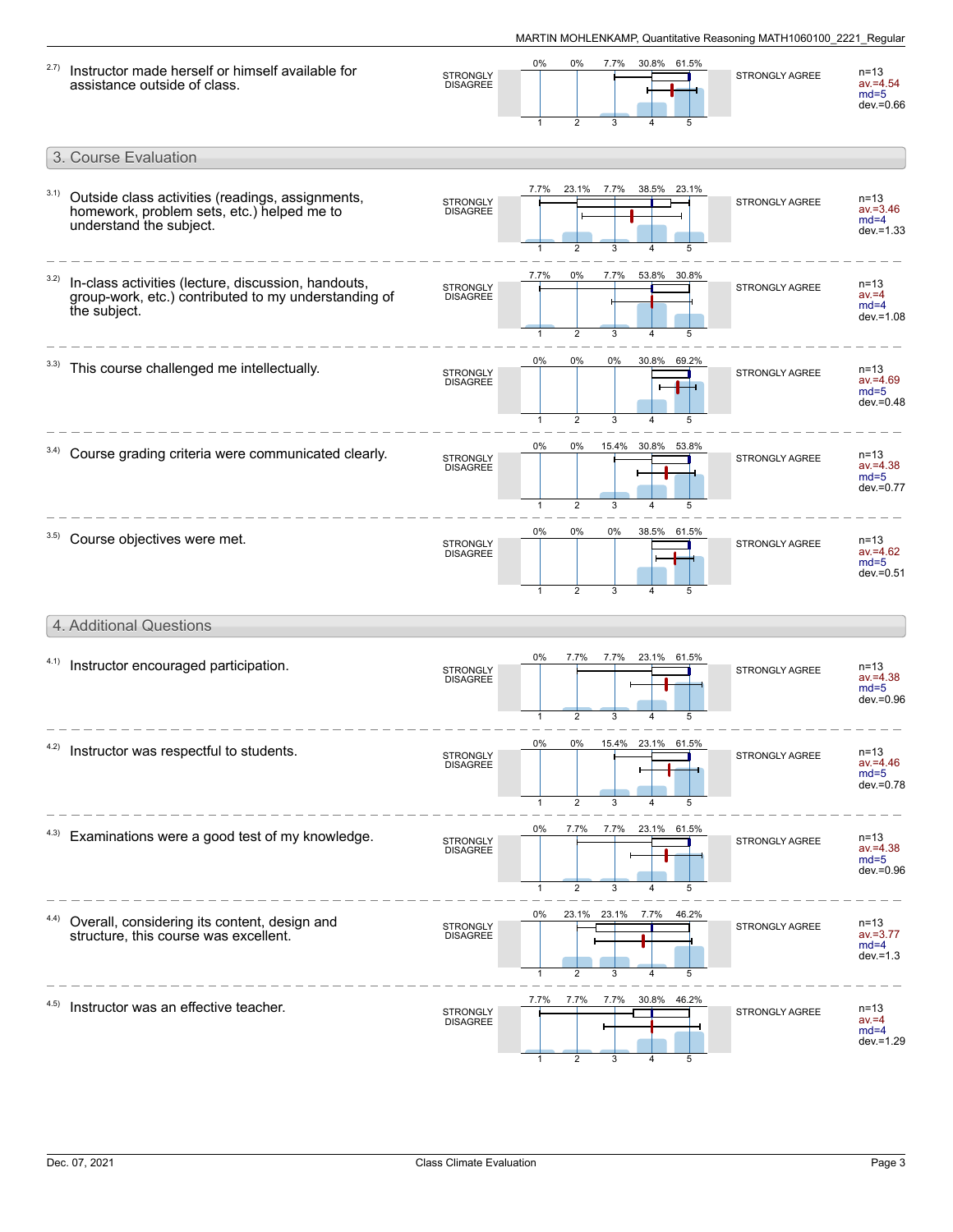| 2.7) | Instructor made herself or himself available for<br>assistance outside of class.                                            | <b>STRONGLY</b><br><b>DISAGREE</b> | 0%<br>$\mathbf{1}$ | 0%<br>$\overline{2}$   | 7.7%<br>3        |                         | 30.8% 61.5%<br>5 | STRONGLY AGREE        | n=13<br>$av = 4.54$<br>$md=5$<br>$dev = 0.66$     |
|------|-----------------------------------------------------------------------------------------------------------------------------|------------------------------------|--------------------|------------------------|------------------|-------------------------|------------------|-----------------------|---------------------------------------------------|
|      | 3. Course Evaluation                                                                                                        |                                    |                    |                        |                  |                         |                  |                       |                                                   |
| 3.1) | Outside class activities (readings, assignments,<br>homework, problem sets, etc.) helped me to<br>understand the subject.   | <b>STRONGLY</b><br><b>DISAGREE</b> | 7.7%               | 23.1%<br>2             | 7.7%             |                         | 38.5% 23.1%      | STRONGLY AGREE        | $n = 13$<br>$av = 3.46$<br>$md=4$<br>$dev = 1.33$ |
| 3.2) | In-class activities (lecture, discussion, handouts,<br>group-work, etc.) contributed to my understanding of<br>the subject. | STRONGLY<br>DISAGREE               | 7.7%               | 0%<br>$\overline{2}$   | 7.7%<br>3        |                         | 53.8% 30.8%      | <b>STRONGLY AGREE</b> | $n = 13$<br>$av = 4$<br>$md=4$<br>$dev = 1.08$    |
|      | This course challenged me intellectually.                                                                                   | <b>STRONGLY</b><br><b>DISAGREE</b> | 0%                 | 0%<br>$\overline{2}$   | 0%<br>3          | 30.8%                   | 69.2%            | <b>STRONGLY AGREE</b> | n=13<br>$av = 4.69$<br>$md=5$<br>$dev = 0.48$     |
| 3.4) | Course grading criteria were communicated clearly.                                                                          | <b>STRONGLY</b><br><b>DISAGREE</b> | 0%<br>$\mathbf{1}$ | 0%<br>$\overline{2}$   | 3                | 15.4% 30.8%             | 53.8%            | STRONGLY AGREE        | $n = 13$<br>$av = 4.38$<br>$md=5$<br>dev.=0.77    |
| 3.5) | Course objectives were met.                                                                                                 | STRONGLY<br>DISAGREE               | 0%<br>$\mathbf{1}$ | 0%<br>$\overline{2}$   | 0%<br>3          | $\overline{\mathbf{4}}$ | 38.5% 61.5%<br>5 | <b>STRONGLY AGREE</b> | $n = 13$<br>$av = 4.62$<br>$md=5$<br>$dev = 0.51$ |
|      | 4. Additional Questions                                                                                                     |                                    |                    |                        |                  |                         |                  |                       |                                                   |
| 4.1) | Instructor encouraged participation.                                                                                        | STRONGLY<br>DISAGREE               | 0%<br>1            | 7.7%<br>2              | 7.7%<br>3        | 23.1%                   | 61.5%<br>5       | <b>STRONGLY AGREE</b> | $n = 13$<br>av.=4.38<br>$md=5$<br>$dev = 0.96$    |
| 4.2) | Instructor was respectful to students.                                                                                      | STRONGLY<br>DISAGREE               | 0%                 | 2                      | 3                |                         |                  | STRONGLY AGREE        | $n = 13$<br>$av = 4.46$<br>$md=5$<br>dev.=0.78    |
| 4.3) | Examinations were a good test of my knowledge.                                                                              | STRONGLY<br>DISAGREE               | 0%                 | 7.7%<br>$\overline{2}$ | 3                | 7.7% 23.1% 61.5%        | 5                | STRONGLY AGREE        | $n = 13$<br>$av = 4.38$<br>$md=5$<br>dev.=0.96    |
| 4.4) | Overall, considering its content, design and<br>structure, this course was excellent.                                       | STRONGLY<br>DISAGREE               | 0%<br>$\mathbf{1}$ | $\overline{2}$         | 23.1% 23.1%<br>3 | 7.7%<br>$\overline{4}$  | 46.2%<br>5       | STRONGLY AGREE        | $n = 13$<br>$av = 3.77$<br>$md=4$<br>$dev = 1.3$  |
| 4.5) | Instructor was an effective teacher.                                                                                        | <b>STRONGLY</b><br><b>DISAGREE</b> | 7.7%               | 7.7%<br>2              | 7.7%<br>3        | $\overline{4}$          | 30.8% 46.2%<br>5 | STRONGLY AGREE        | $n = 13$<br>$av = 4$<br>$md=4$<br>dev. = 1.29     |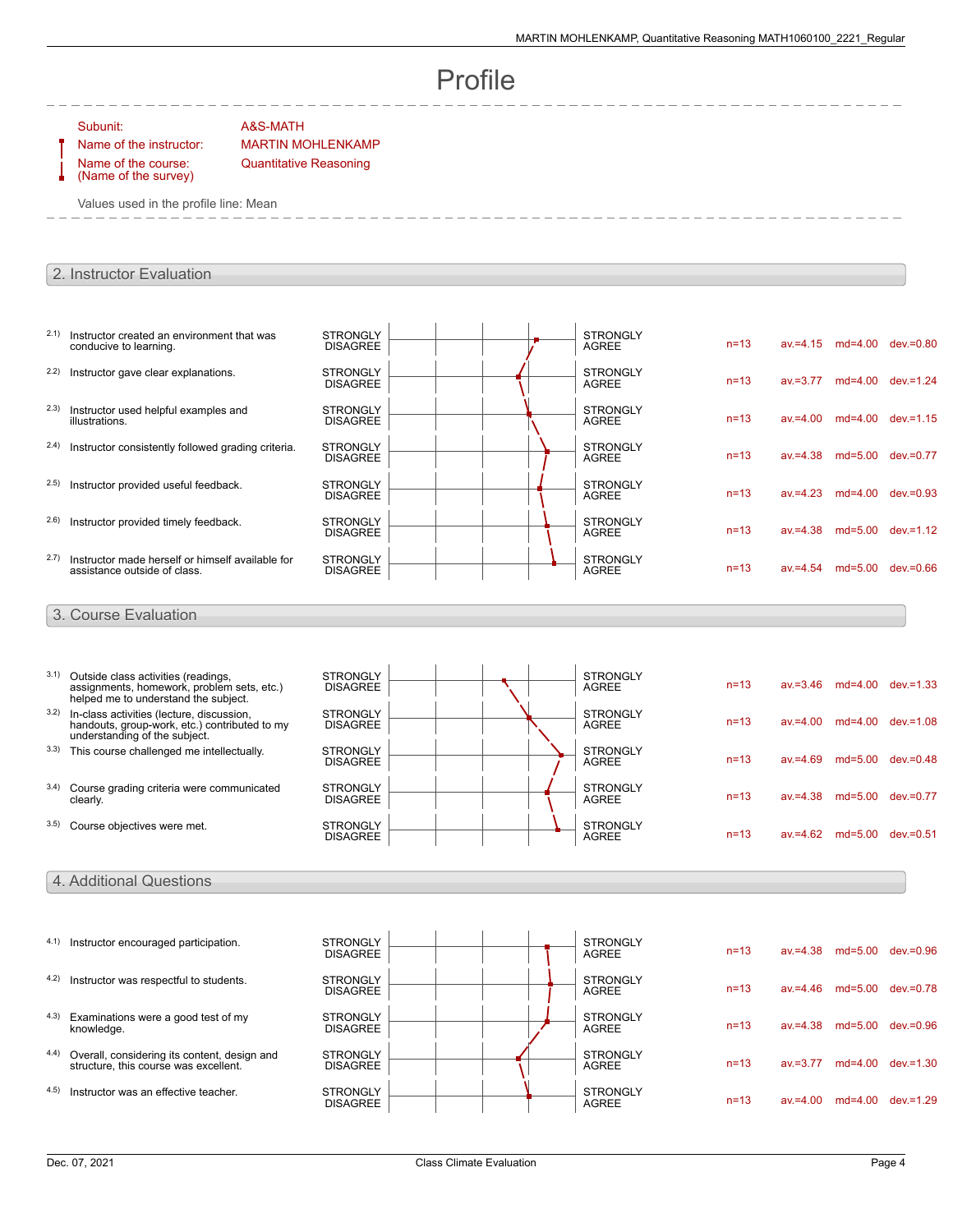# Profile

#### Subunit: A&S-MATH

Name of the course: (Name of the survey)

Name of the instructor: MARTIN MOHLENKAMP Quantitative Reasoning

Values used in the profile line: Mean

## 2. Instructor Evaluation

| 2.1)  | Instructor created an environment that was<br>conducive to learning.                                                        | <b>STRONGLY</b><br><b>DISAGREE</b> |  | <b>STRONGLY</b><br><b>AGREE</b> | $n = 13$ |             | $av = 4.15$ md=4.00 | $dev = 0.80$               |
|-------|-----------------------------------------------------------------------------------------------------------------------------|------------------------------------|--|---------------------------------|----------|-------------|---------------------|----------------------------|
| 2.2)  | Instructor gave clear explanations.                                                                                         | <b>STRONGLY</b><br><b>DISAGREE</b> |  | <b>STRONGLY</b><br><b>AGREE</b> | $n = 13$ | $av = 3.77$ | $md=4.00$           | $dev = 1.24$               |
| 2.3)  | Instructor used helpful examples and<br>illustrations.                                                                      | <b>STRONGLY</b><br><b>DISAGREE</b> |  | <b>STRONGLY</b><br><b>AGREE</b> | $n = 13$ | $av = 4.00$ | $md=4.00$           | $dev = 1.15$               |
| (2.4) | Instructor consistently followed grading criteria.                                                                          | <b>STRONGLY</b><br><b>DISAGREE</b> |  | <b>STRONGLY</b><br><b>AGREE</b> | $n = 13$ | $av = 4.38$ |                     | md=5.00 dev.=0.77          |
| 2.5)  | Instructor provided useful feedback.                                                                                        | <b>STRONGLY</b><br><b>DISAGREE</b> |  | <b>STRONGLY</b><br><b>AGREE</b> | $n=13$   | $av = 4.23$ | $md=4.00$           | $dev = 0.93$               |
| 2.6)  | Instructor provided timely feedback.                                                                                        | <b>STRONGLY</b><br><b>DISAGREE</b> |  | <b>STRONGLY</b><br><b>AGREE</b> | $n = 13$ | $av = 4.38$ |                     | md=5.00 dev.=1.12          |
| 2.7)  | Instructor made herself or himself available for<br>assistance outside of class.                                            | <b>STRONGLY</b><br><b>DISAGREE</b> |  | <b>STRONGLY</b><br><b>AGREE</b> | $n=13$   | $av = 4.54$ | $md=5.00$           | $dev = 0.66$               |
|       | 3. Course Evaluation                                                                                                        |                                    |  |                                 |          |             |                     |                            |
|       |                                                                                                                             |                                    |  |                                 |          |             |                     |                            |
| 3.1)  | Outside class activities (readings,<br>assignments, homework, problem sets, etc.)<br>helped me to understand the subject.   | <b>STRONGLY</b><br><b>DISAGREE</b> |  | <b>STRONGLY</b><br><b>AGREE</b> | $n=13$   | $av = 3.46$ | md=4.00 dev.=1.33   |                            |
| 3.2)  | In-class activities (lecture, discussion,<br>handouts, group-work, etc.) contributed to my<br>understanding of the subject. | <b>STRONGLY</b><br><b>DISAGREE</b> |  | <b>STRONGLY</b><br><b>AGREE</b> | $n = 13$ | $av = 4.00$ |                     | md=4.00 dev.=1.08          |
|       | 3.3) This course challenged me intellectually.                                                                              | <b>STRONGLY</b><br><b>DISAGREE</b> |  | <b>STRONGLY</b><br><b>AGREE</b> | $n=13$   | $av = 4.69$ |                     | md=5.00 dev.=0.48          |
| 3.4)  | Course grading criteria were communicated<br>clearly.                                                                       | <b>STRONGLY</b><br><b>DISAGREE</b> |  | <b>STRONGLY</b><br><b>AGREE</b> | $n = 13$ | $av = 4.38$ |                     | md=5.00 dev.=0.77          |
|       | 3.5) Course objectives were met.                                                                                            | <b>STRONGLY</b>                    |  | <b>STRONGLY</b><br><b>AGREE</b> | $n=13$   |             |                     | av.=4.62 md=5.00 dev.=0.51 |
|       |                                                                                                                             | <b>DISAGREE</b>                    |  |                                 |          |             |                     |                            |

## 4. Additional Questions

|       | 4.1) Instructor encouraged participation.                                             | <b>STRONGLY</b><br><b>DISAGREE</b> |  |  | <b>STRONGLY</b><br><b>AGREE</b> | $n = 13$ | $av = 4.38$ |           | md=5.00 dev.=0.96 |
|-------|---------------------------------------------------------------------------------------|------------------------------------|--|--|---------------------------------|----------|-------------|-----------|-------------------|
| 4.2)  | Instructor was respectful to students.                                                | <b>STRONGLY</b><br><b>DISAGREE</b> |  |  | <b>STRONGLY</b><br>AGREE        | $n = 13$ | $av = 4.46$ | $md=5.00$ | $dev = 0.78$      |
| (4.3) | Examinations were a good test of my<br>knowledge.                                     | <b>STRONGLY</b><br><b>DISAGREE</b> |  |  | <b>STRONGLY</b><br>AGREE        | $n = 13$ | $av = 4.38$ | $md=5.00$ | $dev = 0.96$      |
| 4.4)  | Overall, considering its content, design and<br>structure, this course was excellent. | <b>STRONGLY</b><br><b>DISAGREE</b> |  |  | <b>STRONGLY</b><br>AGREE        | $n = 13$ | av.=3.77    | $md=4.00$ | $dev = 1.30$      |
| 4.5)  | Instructor was an effective teacher.                                                  | <b>STRONGLY</b><br><b>DISAGREE</b> |  |  | <b>STRONGLY</b><br><b>AGREE</b> | $n = 13$ | av.=4.00    | md=4.00   | $dev = 1.29$      |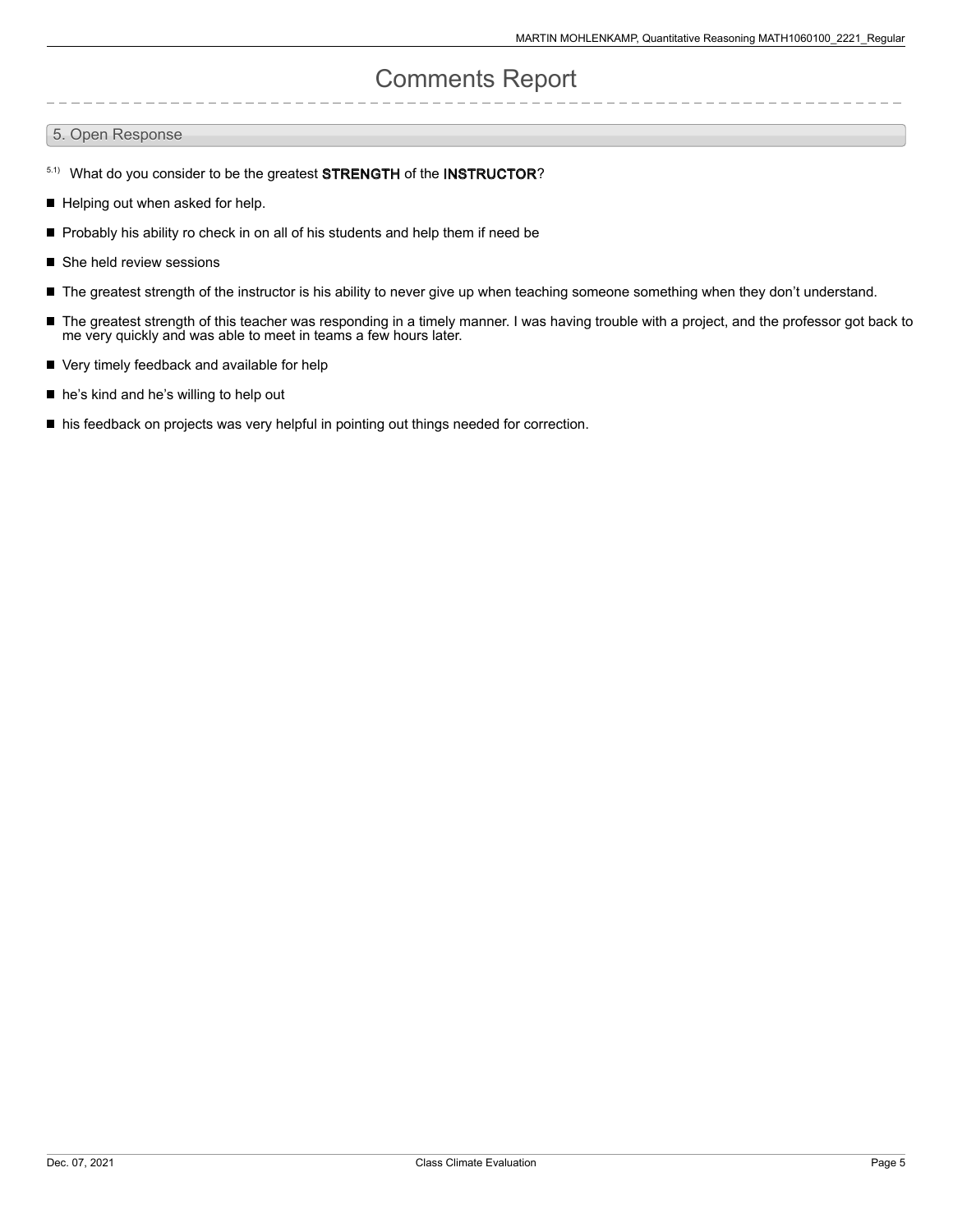# Comments Report

#### 5. Open Response

- 5.1) What do you consider to be the greatest STRENGTH of the INSTRUCTOR?
- Helping out when asked for help.
- П Probably his ability ro check in on all of his students and help them if need be
- She held review sessions
- The greatest strength of the instructor is his ability to never give up when teaching someone something when they don't understand.
- The greatest strength of this teacher was responding in a timely manner. I was having trouble with a project, and the professor got back to me very quickly and was able to meet in teams a few hours later.
- Very timely feedback and available for help
- he's kind and he's willing to help out
- $\blacksquare$  his feedback on projects was very helpful in pointing out things needed for correction.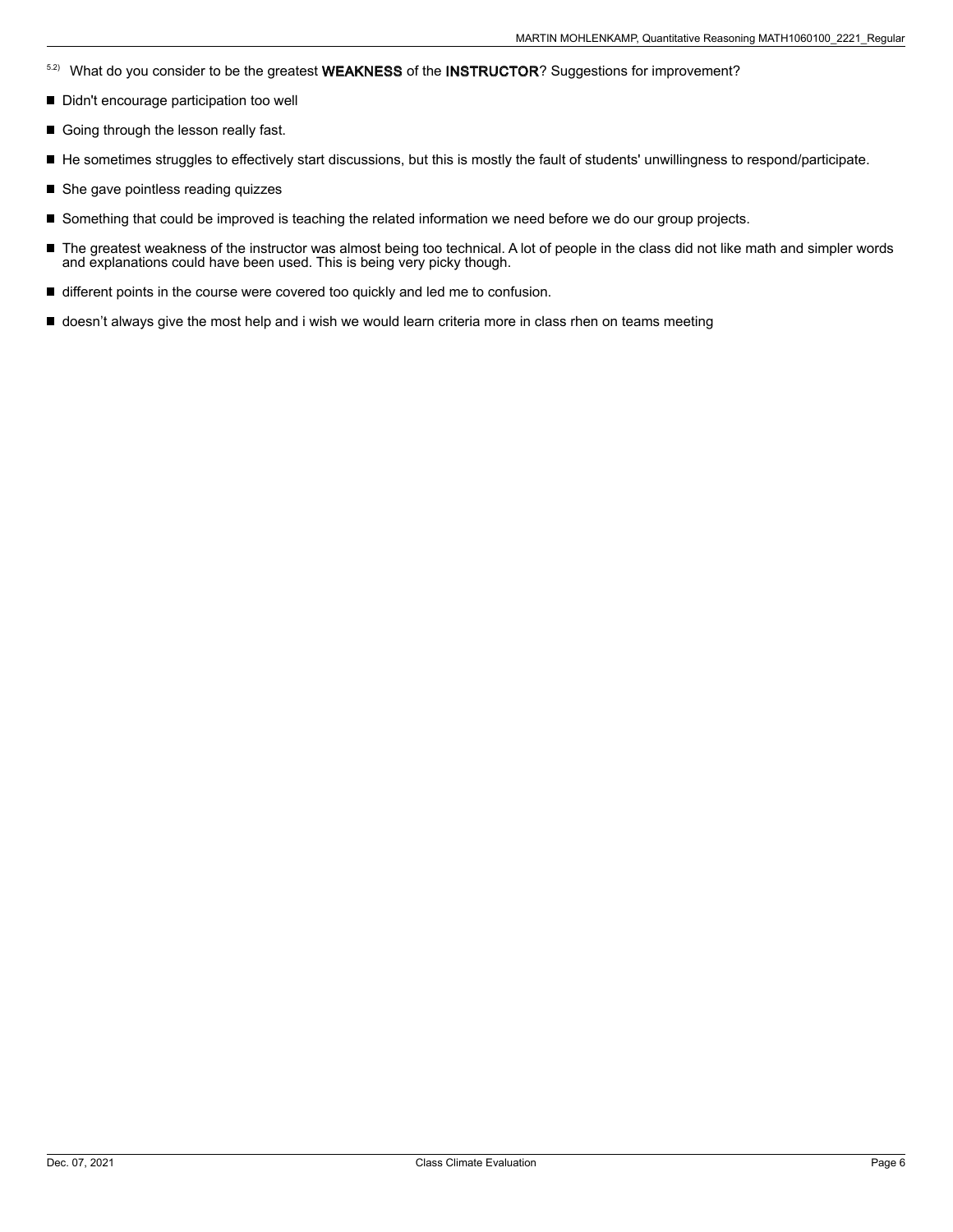- <sup>5.2)</sup> What do you consider to be the greatest WEAKNESS of the INSTRUCTOR? Suggestions for improvement?
- Didn't encourage participation too well
- Going through the lesson really fast.
- He sometimes struggles to effectively start discussions, but this is mostly the fault of students' unwillingness to respond/participate.
- She gave pointless reading quizzes
- Something that could be improved is teaching the related information we need before we do our group projects.
- $\blacksquare$ The greatest weakness of the instructor was almost being too technical. A lot of people in the class did not like math and simpler words and explanations could have been used. This is being very picky though.
- different points in the course were covered too quickly and led me to confusion.
- doesn't always give the most help and i wish we would learn criteria more in class rhen on teams meeting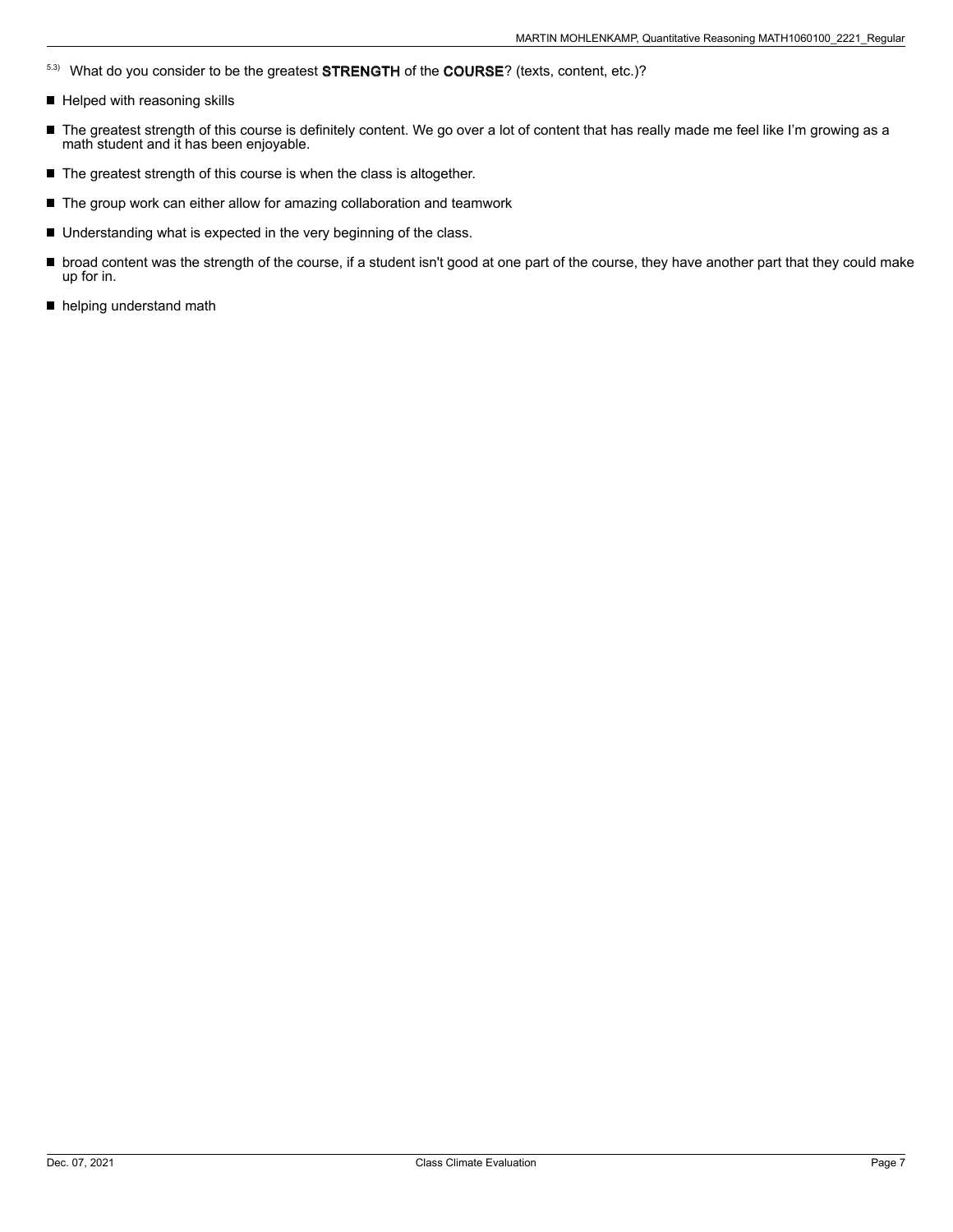- 5.3) What do you consider to be the greatest STRENGTH of the COURSE? (texts, content, etc.)?
- Helped with reasoning skills
- The greatest strength of this course is definitely content. We go over a lot of content that has really made me feel like I'm growing as a math student and it has been enjoyable.
- $\blacksquare$  The greatest strength of this course is when the class is altogether.
- The group work can either allow for amazing collaboration and teamwork
- Understanding what is expected in the very beginning of the class.
- broad content was the strength of the course, if a student isn't good at one part of the course, they have another part that they could make up for in.
- helping understand math